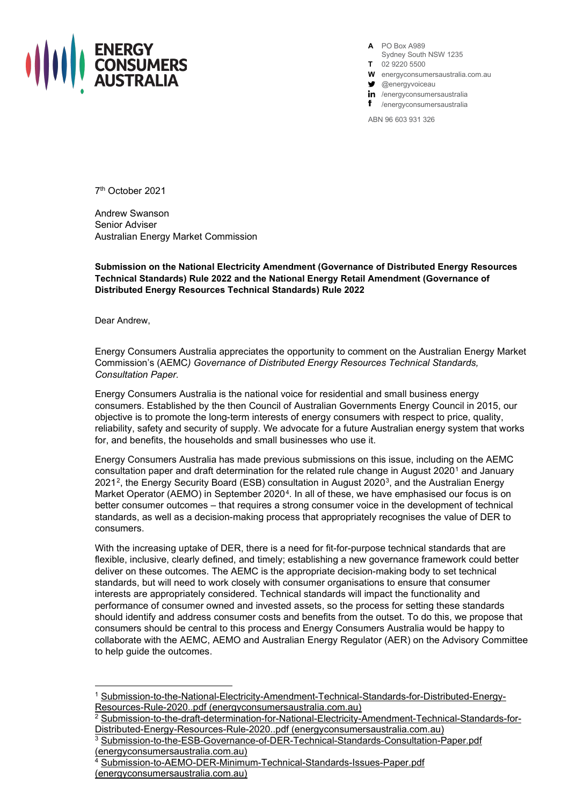

**A** PO Box A989

- Sydney South NSW 1235 **T** 02 9220 5500
- **W** energyconsumersaustralia.com.au
- $\bigtriangledown$  @energyvoiceau
- in /energyconsumersaustralia
- f /energyconsumersaustralia

ABN 96 603 931 326

7th October 2021

Andrew Swanson Senior Adviser Australian Energy Market Commission

### **Submission on the National Electricity Amendment (Governance of Distributed Energy Resources Technical Standards) Rule 2022 and the National Energy Retail Amendment (Governance of Distributed Energy Resources Technical Standards) Rule 2022**

Dear Andrew,

Energy Consumers Australia appreciates the opportunity to comment on the Australian Energy Market Commission's (AEMC*) Governance of Distributed Energy Resources Technical Standards, Consultation Paper.*

Energy Consumers Australia is the national voice for residential and small business energy consumers. Established by the then Council of Australian Governments Energy Council in 2015, our objective is to promote the long-term interests of energy consumers with respect to price, quality, reliability, safety and security of supply. We advocate for a future Australian energy system that works for, and benefits, the households and small businesses who use it.

Energy Consumers Australia has made previous submissions on this issue, including on the AEMC consultation paper and draft determination for the related rule change in August 2020<sup>[1](#page-0-0)</sup> and January 2021<sup>2</sup>, the Energy Security Board (ESB) consultation in August 2020<sup>[3](#page-0-2)</sup>, and the Australian Energy Market Operator (AEMO) in September 2020<sup>[4](#page-0-3)</sup>. In all of these, we have emphasised our focus is on better consumer outcomes – that requires a strong consumer voice in the development of technical standards, as well as a decision-making process that appropriately recognises the value of DER to consumers.

With the increasing uptake of DER, there is a need for fit-for-purpose technical standards that are flexible, inclusive, clearly defined, and timely; establishing a new governance framework could better deliver on these outcomes. The AEMC is the appropriate decision-making body to set technical standards, but will need to work closely with consumer organisations to ensure that consumer interests are appropriately considered. Technical standards will impact the functionality and performance of consumer owned and invested assets, so the process for setting these standards should identify and address consumer costs and benefits from the outset. To do this, we propose that consumers should be central to this process and Energy Consumers Australia would be happy to collaborate with the AEMC, AEMO and Australian Energy Regulator (AER) on the Advisory Committee to help guide the outcomes.

<span id="page-0-0"></span><sup>1</sup> [Submission-to-the-National-Electricity-Amendment-Technical-Standards-for-Distributed-Energy-](https://energyconsumersaustralia.com.au/wp-content/uploads/Submission-to-the-National-Electricity-Amendment-Technical-Standards-for-Distributed-Energy-Resources-Rule-2020..pdf)[Resources-Rule-2020..pdf \(energyconsumersaustralia.com.au\)](https://energyconsumersaustralia.com.au/wp-content/uploads/Submission-to-the-National-Electricity-Amendment-Technical-Standards-for-Distributed-Energy-Resources-Rule-2020..pdf)

<span id="page-0-1"></span><sup>2</sup> [Submission-to-the-draft-determination-for-National-Electricity-Amendment-Technical-Standards-for-](https://energyconsumersaustralia.com.au/wp-content/uploads/Submission-to-the-draft-determination-for-National-Electricity-Amendment-Technical-Standards-for-Distributed-Energy-Resources-Rule-2020..pdf)[Distributed-Energy-Resources-Rule-2020..pdf \(energyconsumersaustralia.com.au\)](https://energyconsumersaustralia.com.au/wp-content/uploads/Submission-to-the-draft-determination-for-National-Electricity-Amendment-Technical-Standards-for-Distributed-Energy-Resources-Rule-2020..pdf)

<span id="page-0-2"></span><sup>3</sup> [Submission-to-the-ESB-Governance-of-DER-Technical-Standards-Consultation-Paper.pdf](https://energyconsumersaustralia.com.au/wp-content/uploads/Submission-to-the-ESB-Governance-of-DER-Technical-Standards-Consultation-Paper.pdf)  [\(energyconsumersaustralia.com.au\)](https://energyconsumersaustralia.com.au/wp-content/uploads/Submission-to-the-ESB-Governance-of-DER-Technical-Standards-Consultation-Paper.pdf)

<span id="page-0-3"></span><sup>4</sup> [Submission-to-AEMO-DER-Minimum-Technical-Standards-Issues-Paper.pdf](https://energyconsumersaustralia.com.au/wp-content/uploads/Submission-to-AEMO-DER-Minimum-Technical-Standards-Issues-Paper.pdf)  [\(energyconsumersaustralia.com.au\)](https://energyconsumersaustralia.com.au/wp-content/uploads/Submission-to-AEMO-DER-Minimum-Technical-Standards-Issues-Paper.pdf)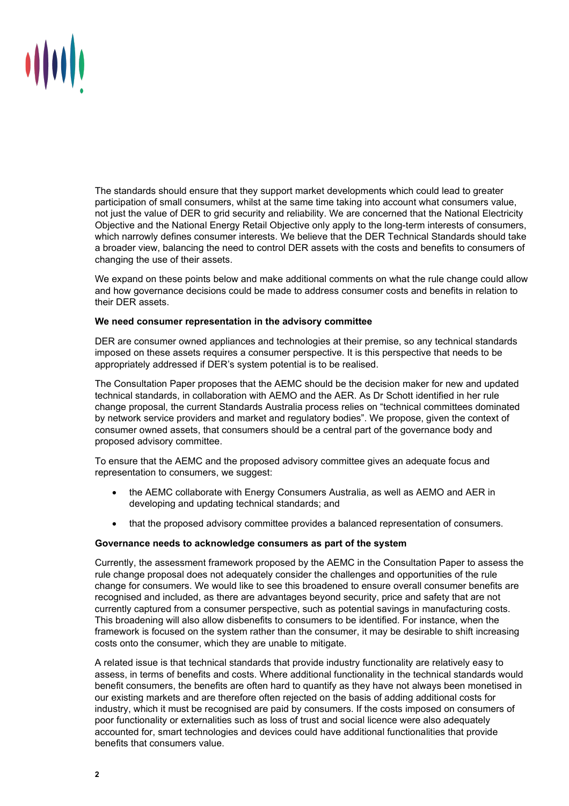

The standards should ensure that they support market developments which could lead to greater participation of small consumers, whilst at the same time taking into account what consumers value, not just the value of DER to grid security and reliability. We are concerned that the National Electricity Objective and the National Energy Retail Objective only apply to the long-term interests of consumers, which narrowly defines consumer interests. We believe that the DER Technical Standards should take a broader view, balancing the need to control DER assets with the costs and benefits to consumers of changing the use of their assets.

We expand on these points below and make additional comments on what the rule change could allow and how governance decisions could be made to address consumer costs and benefits in relation to their DER assets.

#### **We need consumer representation in the advisory committee**

DER are consumer owned appliances and technologies at their premise, so any technical standards imposed on these assets requires a consumer perspective. It is this perspective that needs to be appropriately addressed if DER's system potential is to be realised.

The Consultation Paper proposes that the AEMC should be the decision maker for new and updated technical standards, in collaboration with AEMO and the AER. As Dr Schott identified in her rule change proposal, the current Standards Australia process relies on "technical committees dominated by network service providers and market and regulatory bodies". We propose, given the context of consumer owned assets, that consumers should be a central part of the governance body and proposed advisory committee.

To ensure that the AEMC and the proposed advisory committee gives an adequate focus and representation to consumers, we suggest:

- the AEMC collaborate with Energy Consumers Australia, as well as AEMO and AER in developing and updating technical standards; and
- that the proposed advisory committee provides a balanced representation of consumers.

# **Governance needs to acknowledge consumers as part of the system**

Currently, the assessment framework proposed by the AEMC in the Consultation Paper to assess the rule change proposal does not adequately consider the challenges and opportunities of the rule change for consumers. We would like to see this broadened to ensure overall consumer benefits are recognised and included, as there are advantages beyond security, price and safety that are not currently captured from a consumer perspective, such as potential savings in manufacturing costs. This broadening will also allow disbenefits to consumers to be identified. For instance, when the framework is focused on the system rather than the consumer, it may be desirable to shift increasing costs onto the consumer, which they are unable to mitigate.

A related issue is that technical standards that provide industry functionality are relatively easy to assess, in terms of benefits and costs. Where additional functionality in the technical standards would benefit consumers, the benefits are often hard to quantify as they have not always been monetised in our existing markets and are therefore often rejected on the basis of adding additional costs for industry, which it must be recognised are paid by consumers. If the costs imposed on consumers of poor functionality or externalities such as loss of trust and social licence were also adequately accounted for, smart technologies and devices could have additional functionalities that provide benefits that consumers value.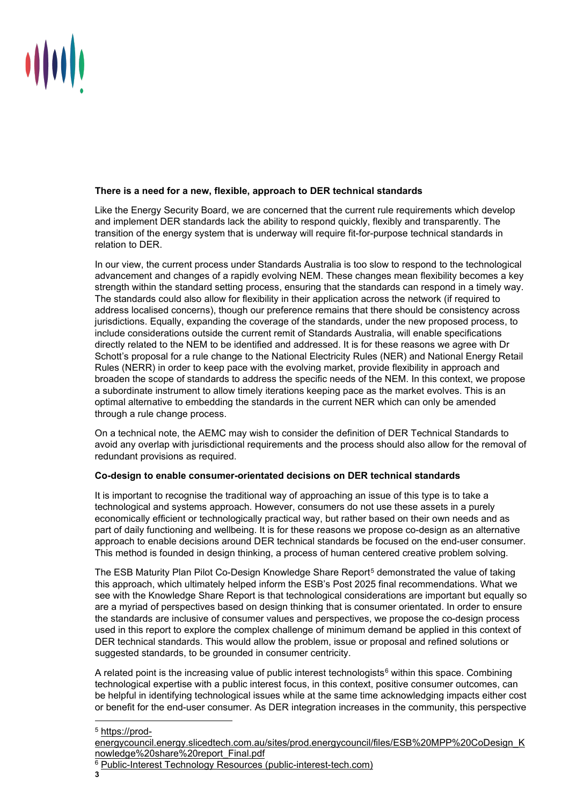

### **There is a need for a new, flexible, approach to DER technical standards**

Like the Energy Security Board, we are concerned that the current rule requirements which develop and implement DER standards lack the ability to respond quickly, flexibly and transparently. The transition of the energy system that is underway will require fit-for-purpose technical standards in relation to DER.

In our view, the current process under Standards Australia is too slow to respond to the technological advancement and changes of a rapidly evolving NEM. These changes mean flexibility becomes a key strength within the standard setting process, ensuring that the standards can respond in a timely way. The standards could also allow for flexibility in their application across the network (if required to address localised concerns), though our preference remains that there should be consistency across jurisdictions. Equally, expanding the coverage of the standards, under the new proposed process, to include considerations outside the current remit of Standards Australia, will enable specifications directly related to the NEM to be identified and addressed. It is for these reasons we agree with Dr Schott's proposal for a rule change to the National Electricity Rules (NER) and National Energy Retail Rules (NERR) in order to keep pace with the evolving market, provide flexibility in approach and broaden the scope of standards to address the specific needs of the NEM. In this context, we propose a subordinate instrument to allow timely iterations keeping pace as the market evolves. This is an optimal alternative to embedding the standards in the current NER which can only be amended through a rule change process.

On a technical note, the AEMC may wish to consider the definition of DER Technical Standards to avoid any overlap with jurisdictional requirements and the process should also allow for the removal of redundant provisions as required.

# **Co-design to enable consumer-orientated decisions on DER technical standards**

It is important to recognise the traditional way of approaching an issue of this type is to take a technological and systems approach. However, consumers do not use these assets in a purely economically efficient or technologically practical way, but rather based on their own needs and as part of daily functioning and wellbeing. It is for these reasons we propose co-design as an alternative approach to enable decisions around DER technical standards be focused on the end-user consumer. This method is founded in design thinking, a process of human centered creative problem solving.

The ESB Maturity Plan Pilot Co-Design Knowledge Share Report<sup>[5](#page-2-0)</sup> demonstrated the value of taking this approach, which ultimately helped inform the ESB's Post 2025 final recommendations. What we see with the Knowledge Share Report is that technological considerations are important but equally so are a myriad of perspectives based on design thinking that is consumer orientated. In order to ensure the standards are inclusive of consumer values and perspectives, we propose the co-design process used in this report to explore the complex challenge of minimum demand be applied in this context of DER technical standards. This would allow the problem, issue or proposal and refined solutions or suggested standards, to be grounded in consumer centricity.

A related point is the increasing value of public interest technologists $6$  within this space. Combining technological expertise with a public interest focus, in this context, positive consumer outcomes, can be helpful in identifying technological issues while at the same time acknowledging impacts either cost or benefit for the end-user consumer. As DER integration increases in the community, this perspective

<sup>5</sup> [https://prod-](https://prod-energycouncil.energy.slicedtech.com.au/sites/prod.energycouncil/files/ESB%20MPP%20CoDesign_Knowledge%20share%20report_Final.pdf)

<span id="page-2-0"></span>[energycouncil.energy.slicedtech.com.au/sites/prod.energycouncil/files/ESB%20MPP%20CoDesign\\_K](https://prod-energycouncil.energy.slicedtech.com.au/sites/prod.energycouncil/files/ESB%20MPP%20CoDesign_Knowledge%20share%20report_Final.pdf) [nowledge%20share%20report\\_Final.pdf](https://prod-energycouncil.energy.slicedtech.com.au/sites/prod.energycouncil/files/ESB%20MPP%20CoDesign_Knowledge%20share%20report_Final.pdf)

<span id="page-2-1"></span><sup>&</sup>lt;sup>6</sup> [Public-Interest Technology Resources \(public-interest-tech.com\)](https://public-interest-tech.com/)